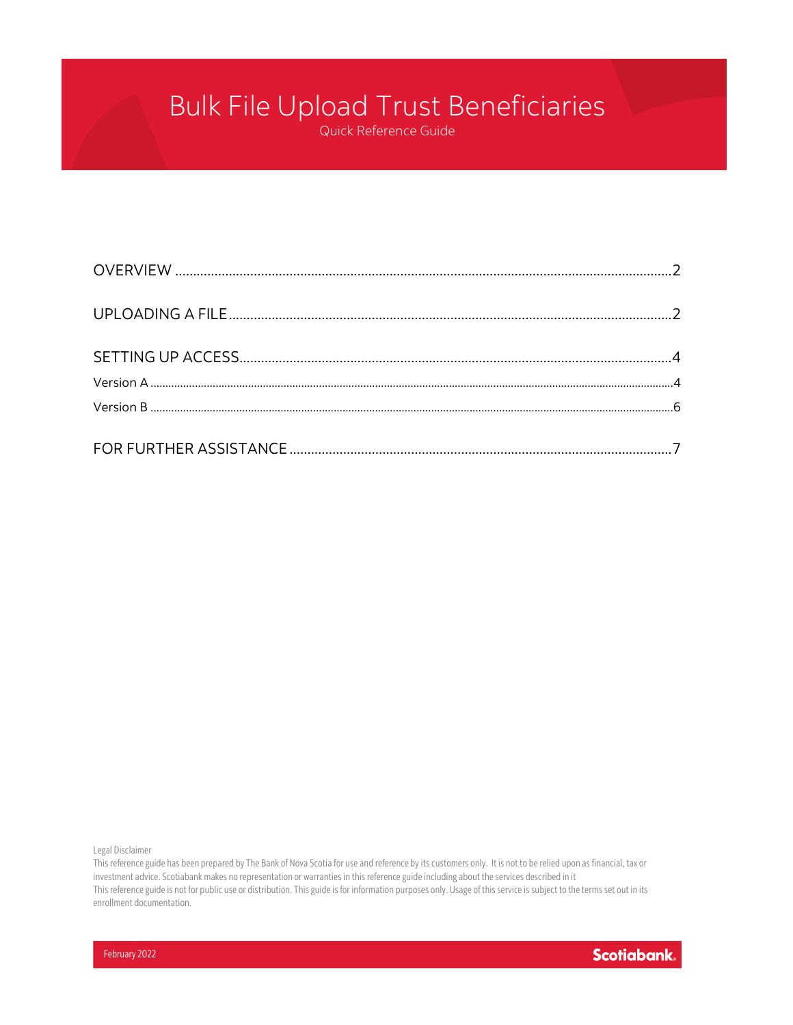# Bulk File Upload Trust Beneficiaries

Quick Reference Guide

Legal Disclaimer

This reference guide has been prepared by The Bank of Nova Scotia for use and reference by its customers only. It is not to be relied upon as financial, tax or investment advice. Scotiabank makes no representation or warranties in this reference guide including about the services described in it This reference guide is not for public use or distribution. This guide is for information purposes only. Usage of this service is subject to the terms set out in its enrollment documentation.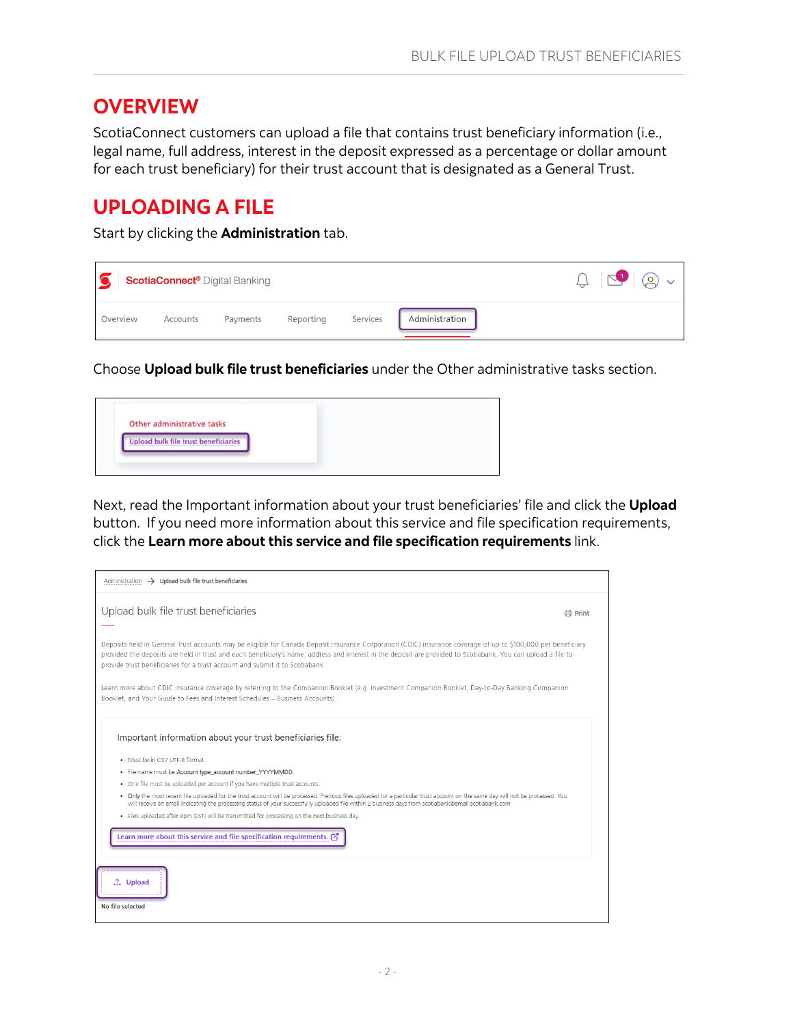### <span id="page-1-0"></span>**OVERVIEW**

ScotiaConnect customers can upload a file that contains trust beneficiary information (i.e., legal name, full address, interest in the deposit expressed as a percentage or dollar amount for each trust beneficiary) for their trust account that is designated as a General Trust.

### <span id="page-1-1"></span>**UPLOADING A FILE**

Start by clicking the **Administration** tab.



Choose **Upload bulk file trust beneficiaries** under the Other administrative tasks section.



Next, read the Important information about your trust beneficiaries' file and click the **Upload** button. If you need more information about this service and file specification requirements, click the **Learn more about this service and file specification requirements** link.

| Administration $\rightarrow$ Upload bulk file trust beneficiaries                                                                                                                                                                                                                                                                                                                                              |                |
|----------------------------------------------------------------------------------------------------------------------------------------------------------------------------------------------------------------------------------------------------------------------------------------------------------------------------------------------------------------------------------------------------------------|----------------|
| Upload bulk file trust beneficiaries                                                                                                                                                                                                                                                                                                                                                                           | <b>曲</b> Print |
| Deposits held in General Trust accounts may be eligible for Canada Deposit Insurance Corporation (CDIC) insurance coverage of up to \$100,000 per beneficiary<br>provided the deposits are held in trust and each beneficiary's name, address and interest in the deposit are provided to Scotiabank. You can upload a file to<br>provide trust beneficiaries for a trust account and submit it to Scotiabank. |                |
| Learn more about CDIC insurance coverage by referring to the Companion Booklet (e.g. Investment Companion Booklet, Day-to-Day Banking Companion<br>Booklet, and Your Guide to Fees and Interest Schedules - Business Accounts).                                                                                                                                                                                |                |
| Important information about your trust beneficiaries file:                                                                                                                                                                                                                                                                                                                                                     |                |
| . Must be in CSV UTF-8 format.                                                                                                                                                                                                                                                                                                                                                                                 |                |
| . File name must be Account type_account number_YYYYMMDD.                                                                                                                                                                                                                                                                                                                                                      |                |
| . One file must be uploaded per account if you have multiple trust accounts.                                                                                                                                                                                                                                                                                                                                   |                |
| . Only the most recent file uploaded for the trust account will be processed. Previous files uploaded for a particular trust account on the same day will not be processed. You<br>will receive an email indicating the processing status of your successfully uploaded file within 2 business days from scotiabank@email.scotiabank.com                                                                       |                |
| . Files uploaded after 8pm (EST) will be transmitted for processing on the next business day.                                                                                                                                                                                                                                                                                                                  |                |
| Learn more about this service and file specification requirements. [7]                                                                                                                                                                                                                                                                                                                                         |                |
| <sup>1</sup> Upload<br>No file selected                                                                                                                                                                                                                                                                                                                                                                        |                |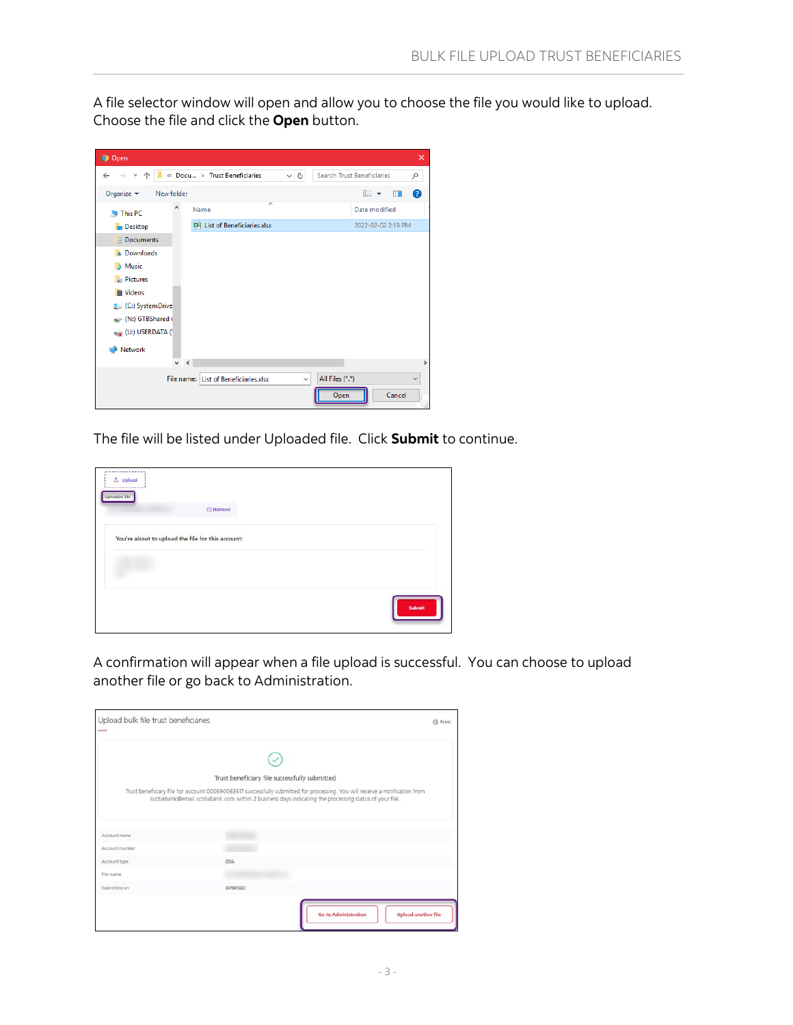A file selector window will open and allow you to choose the file you would like to upload. Choose the file and click the **Open** button.

| <b>g</b> Open                               |                                       |                   |                                   | $\times$      |
|---------------------------------------------|---------------------------------------|-------------------|-----------------------------------|---------------|
| $\leftarrow$ $\rightarrow$                  | « Docu > Trust Beneficiaries          | Ō<br>$\checkmark$ | Search Trust Beneficiaries        | مر            |
| Organize $\blacktriangledown$<br>New folder |                                       |                   | ⊪: ▼<br>$\Box$                    | $\bullet$     |
| This PC                                     | ᄉ<br>Name                             |                   | Date modified                     |               |
| <b>Desktop</b>                              | <b>DAL</b> List of Beneficiaries.xlsx |                   | 2022-02-02 2:19 PM                |               |
| <b>F</b> Documents                          |                                       |                   |                                   |               |
| <b>Downloads</b>                            |                                       |                   |                                   |               |
| <b>In Music</b>                             |                                       |                   |                                   |               |
| <b>Pictures</b>                             |                                       |                   |                                   |               |
| <b>图 Videos</b>                             |                                       |                   |                                   |               |
| (C:) SystemDrive                            |                                       |                   |                                   |               |
| (N:) GTBShared (                            |                                       |                   |                                   |               |
| $\rightarrow$ (U:) USERDATA (               |                                       |                   |                                   |               |
| Network                                     |                                       |                   |                                   |               |
| v                                           | $\leq$                                |                   |                                   | $\rightarrow$ |
|                                             | File name: List of Beneficiaries.xlsx | $\checkmark$      | All Files (*.*)<br>Cancel<br>Open | $\checkmark$  |

The file will be listed under Uploaded file. Click **Submit** to continue.

| $L$ Upload           |                                                   |               |
|----------------------|---------------------------------------------------|---------------|
| <b>Uploaded file</b> | <b>C</b> Remove                                   |               |
|                      | You're about to upload the file for this account: |               |
|                      |                                                   |               |
|                      |                                                   |               |
|                      |                                                   | <b>Submit</b> |

A confirmation will appear when a file upload is successful. You can choose to upload another file or go back to Administration.

| Upload bulk file trust beneficiaries |                                                                                                                             | <b>O</b> Print             |
|--------------------------------------|-----------------------------------------------------------------------------------------------------------------------------|----------------------------|
|                                      |                                                                                                                             |                            |
|                                      | Trust beneficiary file successfully submitted                                                                               |                            |
|                                      | Trust beneficiary file for account 000590063517 successfully submitted for processing. You will receive a notification from |                            |
|                                      | scotiabank@email.scotiabank.com within 2 business days indicating the processing status of your file.                       |                            |
|                                      |                                                                                                                             |                            |
|                                      |                                                                                                                             |                            |
| Account name                         |                                                                                                                             |                            |
| Account number                       |                                                                                                                             |                            |
| Account type                         | <b>DOA</b>                                                                                                                  |                            |
| File name                            |                                                                                                                             |                            |
| Submitted on                         | 01/19/2022                                                                                                                  |                            |
|                                      |                                                                                                                             |                            |
|                                      | <b>Go to Administration</b>                                                                                                 | <b>Upload another file</b> |
|                                      |                                                                                                                             |                            |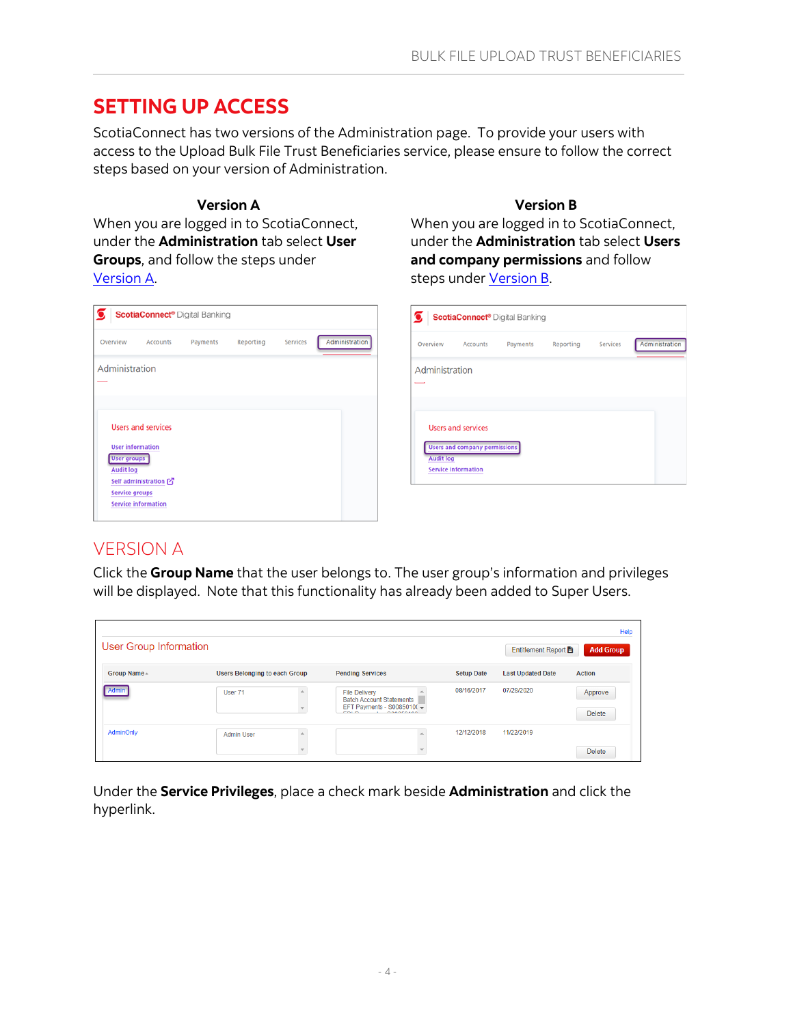### <span id="page-3-0"></span>**SETTING UP ACCESS**

ScotiaConnect has two versions of the Administration page. To provide your users with access to the Upload Bulk File Trust Beneficiaries service, please ensure to follow the correct steps based on your version of Administration.

#### **Version A**

When you are logged in to ScotiaConnect, under the **Administration** tab select **User Groups**, and follow the steps under [Version](#page-3-1) A.

#### **Version B**

When you are logged in to ScotiaConnect, under the **Administration** tab select **Users and company permissions** and follow steps unde[r Version](#page-4-0) B.

| $\bullet$                                                                    | σ                                                |
|------------------------------------------------------------------------------|--------------------------------------------------|
| <b>ScotiaConnect®</b> Digital Banking                                        | <b>ScotiaConnect<sup>®</sup></b> Digital Banking |
| Administration                                                               | Administr                                        |
| Reporting                                                                    | <b>Services</b>                                  |
| Services                                                                     | Reporting                                        |
| Overview                                                                     | Payments                                         |
| Payments                                                                     | Overview                                         |
| Accounts                                                                     | <b>Accounts</b>                                  |
| Administration                                                               | Administration                                   |
| $\sim$                                                                       | --                                               |
| <b>Users and services</b>                                                    | <b>Users and services</b>                        |
| <b>User information</b>                                                      | <b>Users and company permissions</b>             |
| <b>User groups</b>                                                           | <b>Audit log</b>                                 |
| <b>Audit log</b>                                                             | <b>Service information</b>                       |
| Self administration [<br><b>Service groups</b><br><b>Service information</b> |                                                  |

### <span id="page-3-1"></span>VERSION A

Click the **Group Name** that the user belongs to. The user group's information and privileges will be displayed. Note that this functionality has already been added to Super Users.

| <b>User Group Information</b> |                                      |                                                                                                                                                                |                   | Entitlement Report       | Help<br><b>Add Group</b> |
|-------------------------------|--------------------------------------|----------------------------------------------------------------------------------------------------------------------------------------------------------------|-------------------|--------------------------|--------------------------|
| Group Name -                  | <b>Users Belonging to each Group</b> | <b>Pending Services</b>                                                                                                                                        | <b>Setup Date</b> | <b>Last Updated Date</b> | <b>Action</b>            |
| Admin                         | User 71                              | <b>File Delivery</b><br><b>Batch Account Statements</b><br>EFT Payments - S0085010( $\overline{\phantom{0}}$<br><b>COLOR</b><br><b><i><u>AAAAFAJAA</u></i></b> | 08/16/2017        | 07/28/2020               | Approve<br>Delete        |
| AdminOnly                     | <b>Admin User</b><br>$\sim$          |                                                                                                                                                                | 12/12/2018        | 11/22/2019               | <b>Delete</b>            |

Under the **Service Privileges**, place a check mark beside **Administration** and click the hyperlink.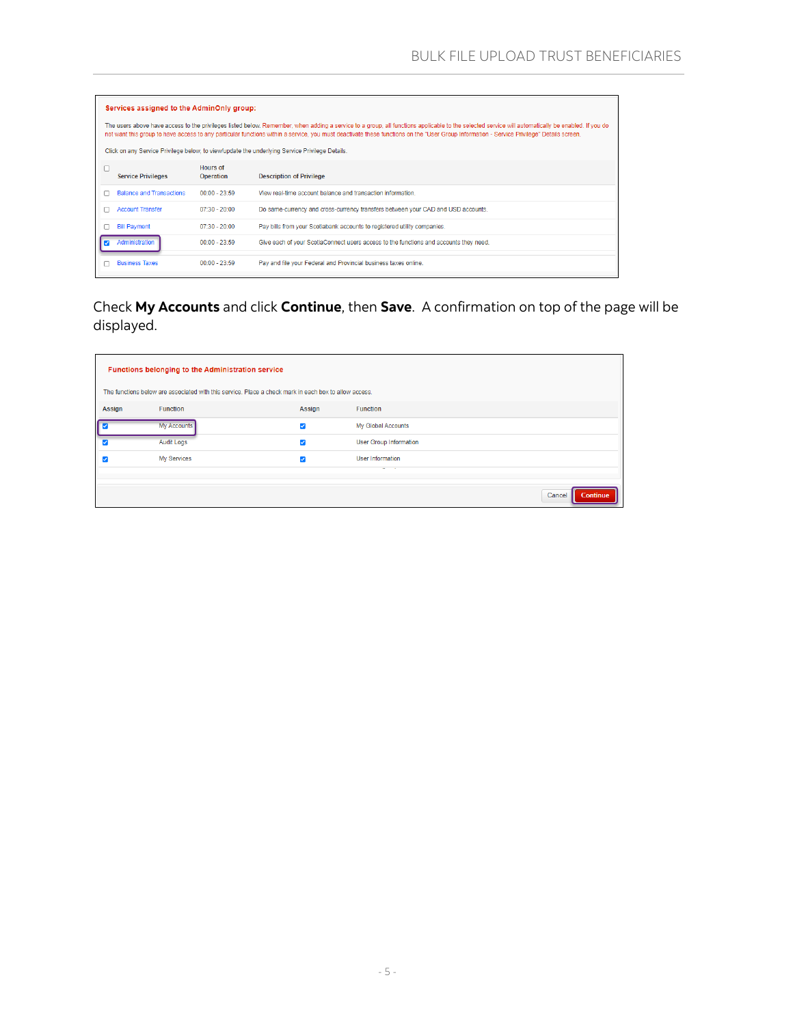| Services assigned to the AdminOnly group:                                                                                                                                                                                                                                                                                                                                                     |                              |                                                                                                |  |  |
|-----------------------------------------------------------------------------------------------------------------------------------------------------------------------------------------------------------------------------------------------------------------------------------------------------------------------------------------------------------------------------------------------|------------------------------|------------------------------------------------------------------------------------------------|--|--|
| The users above have access to the privileges listed below. Remember, when adding a service to a group, all functions applicable to the selected service will automatically be enabled. If you do<br>not want this group to have access to any particular functions within a service, you must deactivate these functions on the "User Group Information - Service Privilege" Details screen. |                              |                                                                                                |  |  |
|                                                                                                                                                                                                                                                                                                                                                                                               |                              | Click on any Service Privilege below, to view/update the underlying Service Privilege Details. |  |  |
| <b>Service Privileges</b>                                                                                                                                                                                                                                                                                                                                                                     | Hours of<br><b>Operation</b> | <b>Description of Privilege</b>                                                                |  |  |
| <b>Balance and Transactions</b>                                                                                                                                                                                                                                                                                                                                                               | $00:00 - 23:59$              | View real-time account balance and transaction information                                     |  |  |
| <b>Account Transfer</b>                                                                                                                                                                                                                                                                                                                                                                       | $07:30 - 20:00$              | Do same-currency and cross-currency transfers between your CAD and USD accounts.               |  |  |
| <b>Bill Payment</b>                                                                                                                                                                                                                                                                                                                                                                           | $07:30 - 20:00$              | Pay bills from your Scotiabank accounts to registered utility companies.                       |  |  |
| Administration                                                                                                                                                                                                                                                                                                                                                                                | $00:00 - 23:59$              | Give each of your ScotiaConnect users access to the functions and accounts they need.          |  |  |
| <b>Business Taxes</b>                                                                                                                                                                                                                                                                                                                                                                         | $00:00 - 23:59$              | Pay and file your Federal and Provincial business taxes online.                                |  |  |

Check **My Accounts** and click **Continue**, then **Save**. A confirmation on top of the page will be displayed.

<span id="page-4-0"></span>

|        | Functions belonging to the Administration service<br>The functions below are associated with this service. Place a check mark in each box to allow access. |                      |                               |                    |  |  |
|--------|------------------------------------------------------------------------------------------------------------------------------------------------------------|----------------------|-------------------------------|--------------------|--|--|
| Assign | <b>Function</b>                                                                                                                                            | Assign               | <b>Function</b>               |                    |  |  |
|        |                                                                                                                                                            |                      |                               |                    |  |  |
|        | My Accounts                                                                                                                                                | $\blacktriangledown$ | My Global Accounts            |                    |  |  |
| ✓      | <b>Audit Logs</b>                                                                                                                                          | ☑                    | <b>User Group Information</b> |                    |  |  |
|        | My Services                                                                                                                                                | ☑                    | User Information              |                    |  |  |
|        |                                                                                                                                                            |                      | $-$                           |                    |  |  |
|        |                                                                                                                                                            |                      |                               | Cancel<br>Continue |  |  |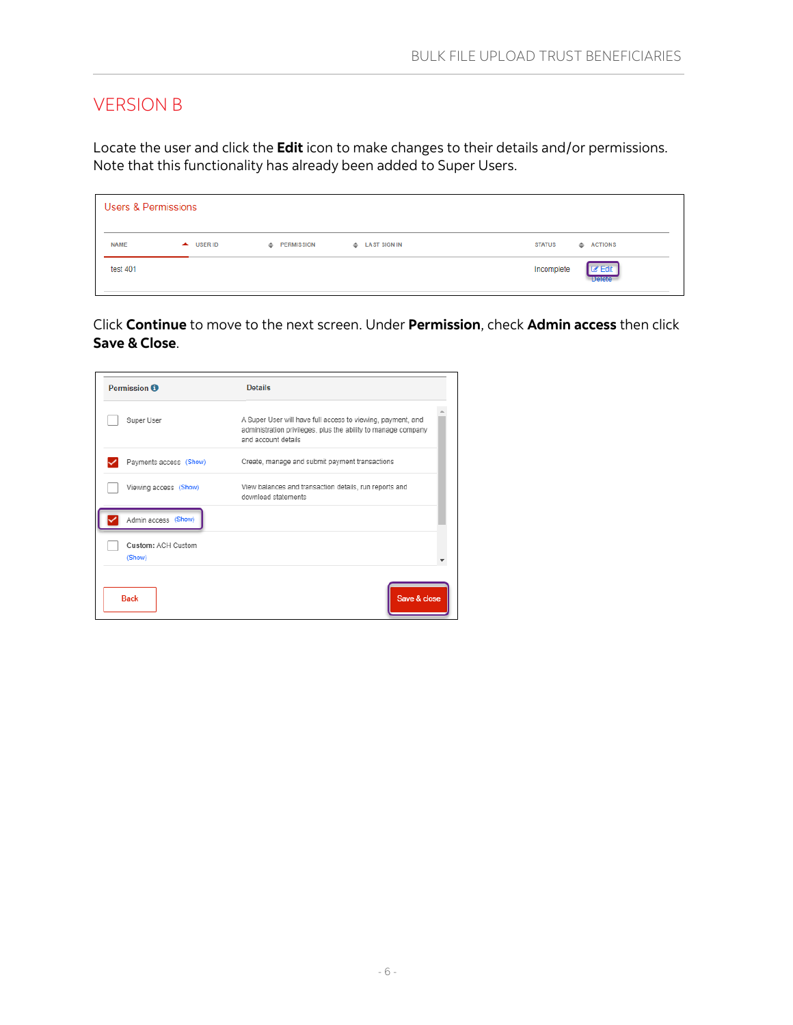### <span id="page-5-0"></span>VERSION B

Locate the user and click the **Edit** icon to make changes to their details and/or permissions. Note that this functionality has already been added to Super Users.

| <b>Users &amp; Permissions</b> |           |                     |                                |                                              |  |
|--------------------------------|-----------|---------------------|--------------------------------|----------------------------------------------|--|
| <b>NAME</b>                    | A USER ID | <b>EXPERMISSION</b> | <b>EXALGO AND LAST SIGN IN</b> | $\triangleq$ ACTIONS<br><b>STATUS</b>        |  |
| test 401                       |           |                     |                                | <b>Z</b> Edit<br>Incomplete<br><b>Delete</b> |  |

Click **Continue** to move to the next screen. Under **Permission**, check **Admin access** then click **Save & Close**.

| <b>Details</b>                                                                                                                                       |
|------------------------------------------------------------------------------------------------------------------------------------------------------|
| A Super User will have full access to viewing, payment, and<br>administration privileges, plus the ability to manage company<br>and account details. |
| Create, manage and submit payment transactions                                                                                                       |
| View balances and transaction details, run reports and<br>download statements                                                                        |
|                                                                                                                                                      |
|                                                                                                                                                      |
|                                                                                                                                                      |
|                                                                                                                                                      |